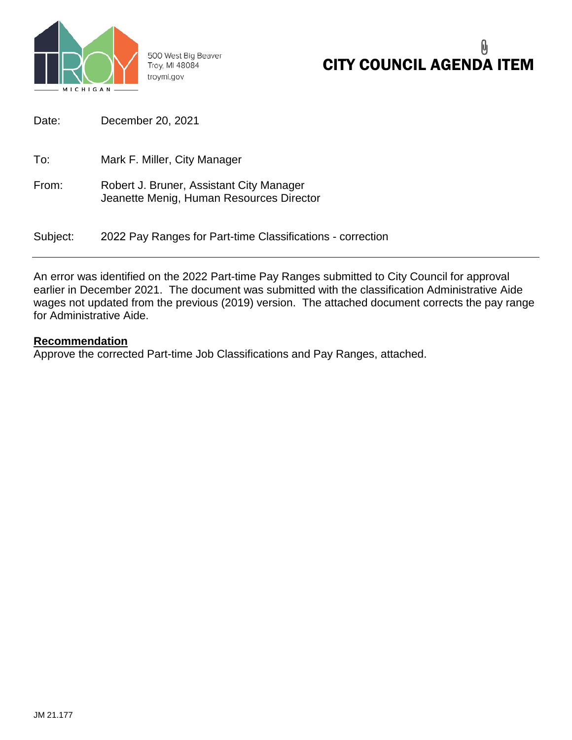

500 West Big Beaver Troy, MI 48084 troymi.gov

## 0 CITY COUNCIL AGENDA ITEM

| Date:    | December 20, 2021                                                                    |
|----------|--------------------------------------------------------------------------------------|
| To:      | Mark F. Miller, City Manager                                                         |
| From:    | Robert J. Bruner, Assistant City Manager<br>Jeanette Menig, Human Resources Director |
| Subject: | 2022 Pay Ranges for Part-time Classifications - correction                           |

An error was identified on the 2022 Part-time Pay Ranges submitted to City Council for approval earlier in December 2021. The document was submitted with the classification Administrative Aide wages not updated from the previous (2019) version. The attached document corrects the pay range for Administrative Aide.

## **Recommendation**

Approve the corrected Part-time Job Classifications and Pay Ranges, attached.